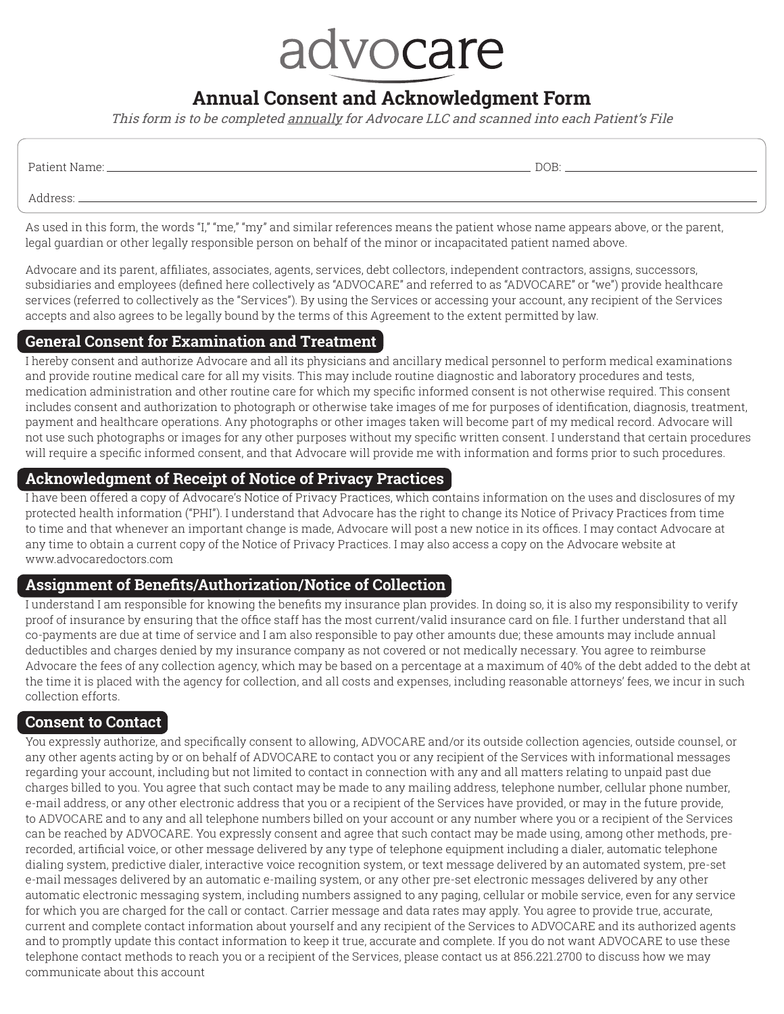# advocare

# **Annual Consent and Acknowledgment Form**

This form is to be completed annually for Advocare LLC and scanned into each Patient's File

| Patient Name: | DOB: |
|---------------|------|
| Address:      |      |

As used in this form, the words "I," "me," "my" and similar references means the patient whose name appears above, or the parent, legal guardian or other legally responsible person on behalf of the minor or incapacitated patient named above.

Advocare and its parent, affiliates, associates, agents, services, debt collectors, independent contractors, assigns, successors, subsidiaries and employees (defined here collectively as "ADVOCARE" and referred to as "ADVOCARE" or "we") provide healthcare services (referred to collectively as the "Services"). By using the Services or accessing your account, any recipient of the Services accepts and also agrees to be legally bound by the terms of this Agreement to the extent permitted by law.

#### **General Consent for Examination and Treatment**

I hereby consent and authorize Advocare and all its physicians and ancillary medical personnel to perform medical examinations and provide routine medical care for all my visits. This may include routine diagnostic and laboratory procedures and tests, medication administration and other routine care for which my specific informed consent is not otherwise required. This consent includes consent and authorization to photograph or otherwise take images of me for purposes of identification, diagnosis, treatment, payment and healthcare operations. Any photographs or other images taken will become part of my medical record. Advocare will not use such photographs or images for any other purposes without my specific written consent. I understand that certain procedures will require a specific informed consent, and that Advocare will provide me with information and forms prior to such procedures.

# **Acknowledgment of Receipt of Notice of Privacy Practices**

I have been offered a copy of Advocare's Notice of Privacy Practices, which contains information on the uses and disclosures of my protected health information ("PHI"). I understand that Advocare has the right to change its Notice of Privacy Practices from time to time and that whenever an important change is made, Advocare will post a new notice in its offices. I may contact Advocare at any time to obtain a current copy of the Notice of Privacy Practices. I may also access a copy on the Advocare website at www.advocaredoctors.com

## **Assignment of Benefits/Authorization/Notice of Collection**

I understand I am responsible for knowing the benefits my insurance plan provides. In doing so, it is also my responsibility to verify proof of insurance by ensuring that the office staff has the most current/valid insurance card on file. I further understand that all co-payments are due at time of service and I am also responsible to pay other amounts due; these amounts may include annual deductibles and charges denied by my insurance company as not covered or not medically necessary. You agree to reimburse Advocare the fees of any collection agency, which may be based on a percentage at a maximum of 40% of the debt added to the debt at the time it is placed with the agency for collection, and all costs and expenses, including reasonable attorneys' fees, we incur in such collection efforts.

## **Consent to Contact**

You expressly authorize, and specifically consent to allowing, ADVOCARE and/or its outside collection agencies, outside counsel, or any other agents acting by or on behalf of ADVOCARE to contact you or any recipient of the Services with informational messages regarding your account, including but not limited to contact in connection with any and all matters relating to unpaid past due charges billed to you. You agree that such contact may be made to any mailing address, telephone number, cellular phone number, e-mail address, or any other electronic address that you or a recipient of the Services have provided, or may in the future provide, to ADVOCARE and to any and all telephone numbers billed on your account or any number where you or a recipient of the Services can be reached by ADVOCARE. You expressly consent and agree that such contact may be made using, among other methods, prerecorded, artificial voice, or other message delivered by any type of telephone equipment including a dialer, automatic telephone dialing system, predictive dialer, interactive voice recognition system, or text message delivered by an automated system, pre-set e-mail messages delivered by an automatic e-mailing system, or any other pre-set electronic messages delivered by any other automatic electronic messaging system, including numbers assigned to any paging, cellular or mobile service, even for any service for which you are charged for the call or contact. Carrier message and data rates may apply. You agree to provide true, accurate, current and complete contact information about yourself and any recipient of the Services to ADVOCARE and its authorized agents and to promptly update this contact information to keep it true, accurate and complete. If you do not want ADVOCARE to use these telephone contact methods to reach you or a recipient of the Services, please contact us at 856.221.2700 to discuss how we may communicate about this account